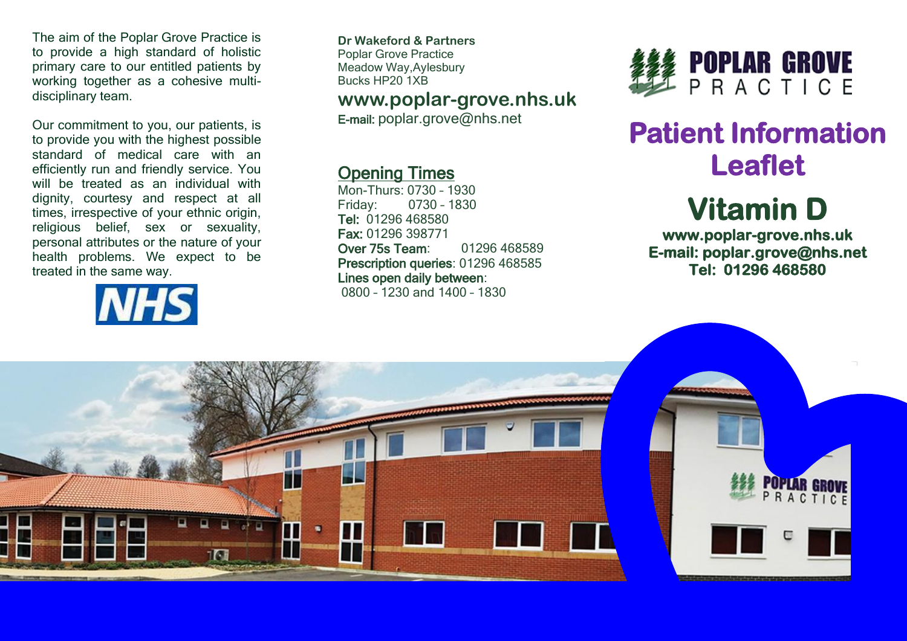The aim of the Poplar Grove Practice is to provide a high standard of holistic primary care to our entitled patients by working together as a cohesive multidisciplinary team.

Our commitment to you, our patients, is to provide you with the highest possible standard of medical care with an efficiently run and friendly service. You will be treated as an individual with dignity, courtesy and respect at all times, irrespective of your ethnic origin, religious belief, sex or sexuality, personal attributes or the nature of your health problems. We expect to be treated in the same way.



**Dr Wakeford & Partners** Poplar Grove Practice Meadow Way,Aylesbury Bucks HP20 1XB

### **www.poplar-grove.nhs.uk**

E-mail: [poplar.grove@nhs.net](mailto:poplar.grove@nhs.net)

### Opening Times

Mon-Thurs: 0730 – 1930 Friday: 0730 – 1830 Tel: 01296 468580 Fax: 01296 398771 Over 75s Team: 01296 468589 Prescription queries: 01296 468585 Lines open daily between: 0800 – 1230 and 1400 – 1830



## **Patient Information Leaflet**

# **Vitamin D**

**www.poplar-grove.nhs.uk E-mail: poplar.grove@nhs.net Tel: 01296 468580**